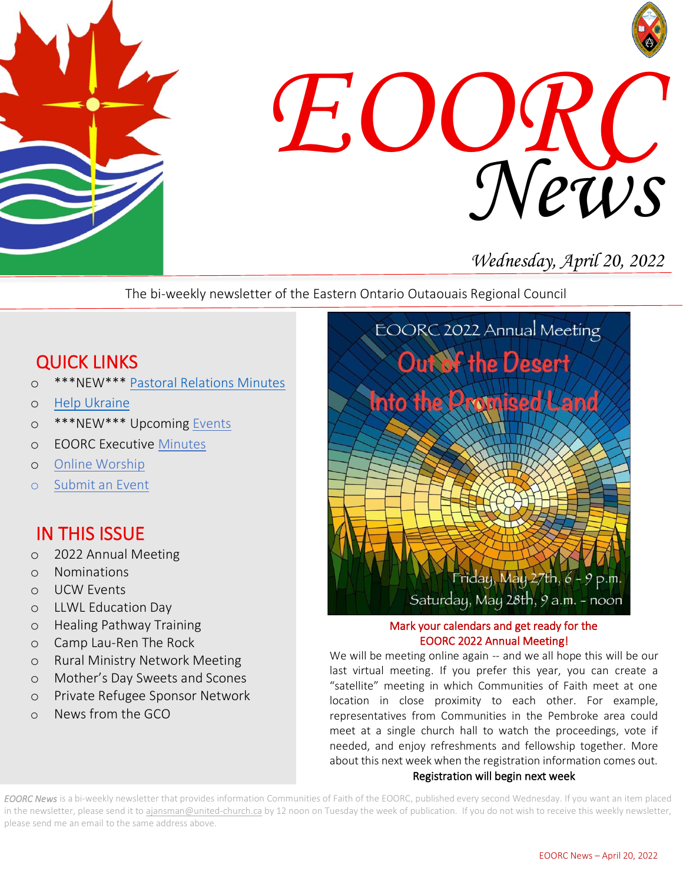



# *Wednesday, April 20, 2022*

The bi-weekly newsletter of the Eastern Ontario Outaouais Regional Council

# QUICK LINKS

- o \*\*\*NEW\*\*\* [Pastoral Relations Minutes](https://eoorc.ca/ministries/pastoral-relations-minutes/)
- o [Help Ukraine](https://eoorc.ca/resources/ukraine-conflict-how-can-we-help/)
- o \*\*\*NEW\*\*\* Upcoming [Events](https://eoorc.ca/events/)
- o EOORC Executive [Minutes](https://eoorc.ca/about-us/governance/)
- o [Online Worship](https://eoorc.ca/resources/online-worship/)
- o [Submit](https://eoorc.ca/events/community/add) an Event

## IN THIS ISSUE

- o 2022 Annual Meeting
- o Nominations
- o UCW Events
- o LLWL Education Day
- o Healing Pathway Training
- o Camp Lau-Ren The Rock
- o Rural Ministry Network Meeting
- o Mother's Day Sweets and Scones
- o Private Refugee Sponsor Network
- o News from the GCO



#### Mark your calendars and get ready for the EOORC 2022 Annual Meeting!

We will be meeting online again -- and we all hope this will be our last virtual meeting. If you prefer this year, you can create a "satellite" meeting in which Communities of Faith meet at one location in close proximity to each other. For example, representatives from Communities in the Pembroke area could meet at a single church hall to watch the proceedings, vote if needed, and enjoy refreshments and fellowship together. More about this next week when the registration information comes out. Registration will begin next week

*EOORC News* is a bi-weekly newsletter that provides information Communities of Faith of the EOORC, published every second Wednesday. If you want an item placed in the newsletter, please send it to [ajansman@united-church.ca](mailto:ajansman@united-church.ca) by 12 noon on Tuesday the week of publication. If you do not wish to receive this weekly newsletter, please send me an email to the same address above.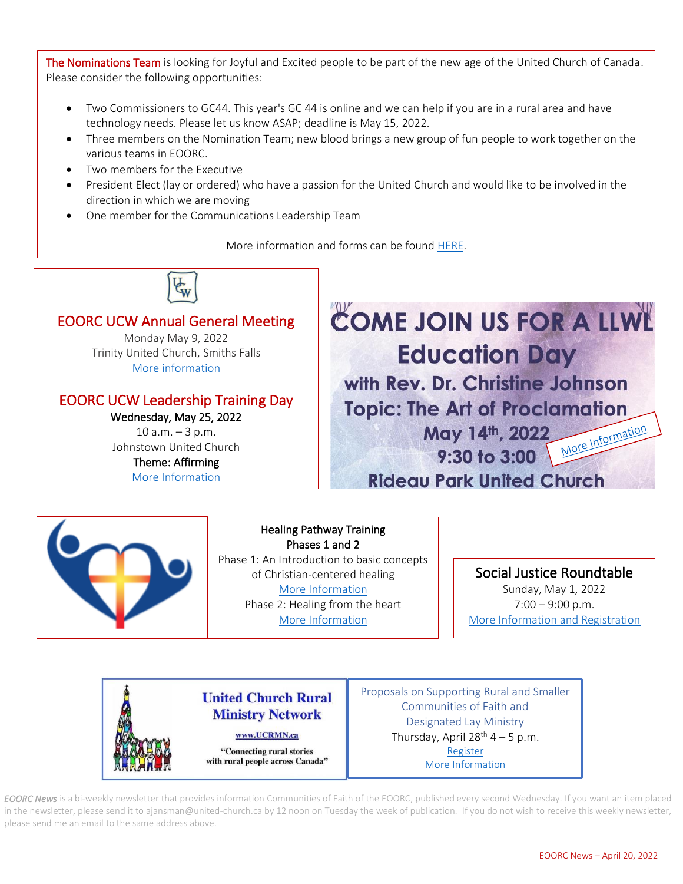The Nominations Team is looking for Joyful and Excited people to be part of the new age of the United Church of Canada. Please consider the following opportunities:

- Two Commissioners to GC44. This year's GC 44 is online and we can help if you are in a rural area and have technology needs. Please let us know ASAP; deadline is May 15, 2022.
- Three members on the Nomination Team; new blood brings a new group of fun people to work together on the various teams in EOORC.
- Two members for the Executive
- President Elect (lay or ordered) who have a passion for the United Church and would like to be involved in the direction in which we are moving
- One member for the Communications Leadership Team

More information and forms can be found [HERE.](https://eoorc.ca/resources/opportunities-to-serve-nominations/)







Proposals on Supporting Rural and Smaller Communities of Faith and Designated Lay Ministry Thursday, April  $28^{th}$  4 – 5 p.m. [Register](https://www.eventbrite.ca/e/ucrmn-zoom-conversation-about-gs-128-gce06-proposals-tickets-310130928957) [More Information](https://mailchi.mp/38cea9cb4517/summer-newsletter-from-ucrmn-11475810?e=50152d7ace)

*EOORC News* is a bi-weekly newsletter that provides information Communities of Faith of the EOORC, published every second Wednesday. If you want an item placed in the newsletter, please send it to [ajansman@united-church.ca](mailto:ajansman@united-church.ca) by 12 noon on Tuesday the week of publication. If you do not wish to receive this weekly newsletter, please send me an email to the same address above.